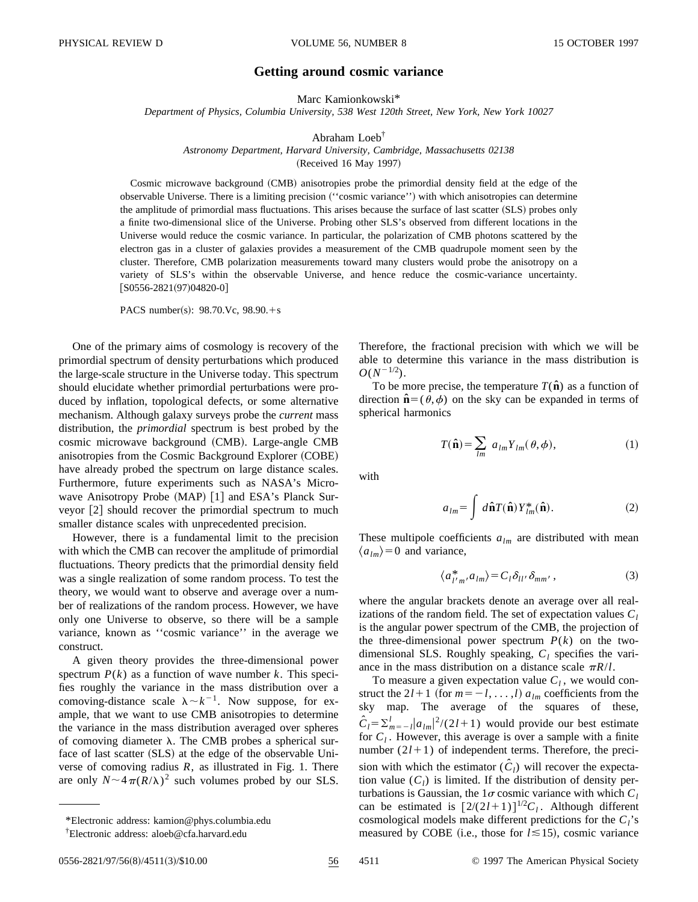## **Getting around cosmic variance**

Marc Kamionkowski\*

*Department of Physics, Columbia University, 538 West 120th Street, New York, New York 10027*

Abraham Loeb†

*Astronomy Department, Harvard University, Cambridge, Massachusetts 02138*

(Received 16 May 1997)

Cosmic microwave background (CMB) anisotropies probe the primordial density field at the edge of the observable Universe. There is a limiting precision ("cosmic variance") with which anisotropies can determine the amplitude of primordial mass fluctuations. This arises because the surface of last scatter (SLS) probes only a finite two-dimensional slice of the Universe. Probing other SLS's observed from different locations in the Universe would reduce the cosmic variance. In particular, the polarization of CMB photons scattered by the electron gas in a cluster of galaxies provides a measurement of the CMB quadrupole moment seen by the cluster. Therefore, CMB polarization measurements toward many clusters would probe the anisotropy on a variety of SLS's within the observable Universe, and hence reduce the cosmic-variance uncertainty.  $[$ S0556-2821(97)04820-0]

PACS number(s):  $98.70$ .Vc,  $98.90.+s$ 

One of the primary aims of cosmology is recovery of the primordial spectrum of density perturbations which produced the large-scale structure in the Universe today. This spectrum should elucidate whether primordial perturbations were produced by inflation, topological defects, or some alternative mechanism. Although galaxy surveys probe the *current* mass distribution, the *primordial* spectrum is best probed by the cosmic microwave background (CMB). Large-angle CMB anisotropies from the Cosmic Background Explorer (COBE) have already probed the spectrum on large distance scales. Furthermore, future experiments such as NASA's Microwave Anisotropy Probe  $(MAP)$  [1] and ESA's Planck Surveyor  $\lceil 2 \rceil$  should recover the primordial spectrum to much smaller distance scales with unprecedented precision.

However, there is a fundamental limit to the precision with which the CMB can recover the amplitude of primordial fluctuations. Theory predicts that the primordial density field was a single realization of some random process. To test the theory, we would want to observe and average over a number of realizations of the random process. However, we have only one Universe to observe, so there will be a sample variance, known as ''cosmic variance'' in the average we construct.

A given theory provides the three-dimensional power spectrum  $P(k)$  as a function of wave number  $k$ . This specifies roughly the variance in the mass distribution over a comoving-distance scale  $\lambda \sim k^{-1}$ . Now suppose, for example, that we want to use CMB anisotropies to determine the variance in the mass distribution averaged over spheres of comoving diameter  $\lambda$ . The CMB probes a spherical surface of last scatter (SLS) at the edge of the observable Universe of comoving radius *R*, as illustrated in Fig. 1. There are only  $N \sim 4\pi (R/\lambda)^2$  such volumes probed by our SLS. Therefore, the fractional precision with which we will be able to determine this variance in the mass distribution is  $O(N^{-1/2})$ .

To be more precise, the temperature  $T(\hat{\bf{n}})$  as a function of direction  $\hat{\mathbf{n}}=(\theta,\phi)$  on the sky can be expanded in terms of spherical harmonics

$$
T(\hat{\mathbf{n}}) = \sum_{lm} a_{lm} Y_{lm}(\theta, \phi), \qquad (1)
$$

with

$$
a_{lm} = \int d\hat{\mathbf{n}} T(\hat{\mathbf{n}}) Y_{lm}^*(\hat{\mathbf{n}}).
$$
 (2)

These multipole coefficients  $a_{lm}$  are distributed with mean  $\langle a_{lm}\rangle$ =0 and variance,

$$
\langle a_{l'm'}^* a_{lm} \rangle = C_l \delta_{ll'} \delta_{mm'}, \qquad (3)
$$

where the angular brackets denote an average over all realizations of the random field. The set of expectation values  $C_l$ is the angular power spectrum of the CMB, the projection of the three-dimensional power spectrum  $P(k)$  on the twodimensional SLS. Roughly speaking,  $C_l$  specifies the variance in the mass distribution on a distance scale  $\pi R/l$ .

To measure a given expectation value  $C_l$ , we would construct the 2*l* + 1 (for  $m = -l, \ldots, l$ )  $a_{lm}$  coefficients from the sky map. The average of the squares of these,  $\hat{C}_l = \sum_{m=-l}^{l} |a_{lm}|^2/(2l+1)$  would provide our best estimate for  $C_l$ . However, this average is over a sample with a finite number  $(2l+1)$  of independent terms. Therefore, the precision with which the estimator  $(\tilde{C}_l)$  will recover the expectation value  $(C<sub>l</sub>)$  is limited. If the distribution of density perturbations is Gaussian, the  $1\sigma$  cosmic variance with which  $C_l$ can be estimated is  $[2/(2l+1)]^{1/2}C_l$ . Although different cosmological models make different predictions for the  $C_l$ 's measured by COBE (i.e., those for  $l \le 15$ ), cosmic variance

<sup>\*</sup>Electronic address: kamion@phys.columbia.edu

<sup>†</sup> Electronic address: aloeb@cfa.harvard.edu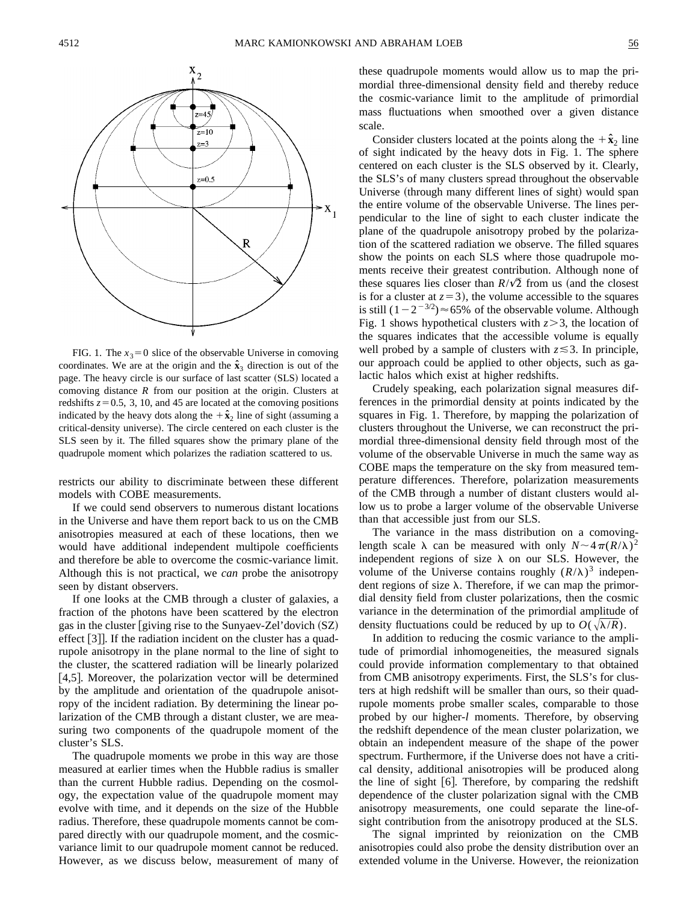

FIG. 1. The  $x_3=0$  slice of the observable Universe in comoving coordinates. We are at the origin and the  $\hat{\mathbf{x}}_3$  direction is out of the page. The heavy circle is our surface of last scatter (SLS) located a comoving distance *R* from our position at the origin. Clusters at redshifts  $z=0.5$ , 3, 10, and 45 are located at the comoving positions indicated by the heavy dots along the  $+\hat{x}_2$  line of sight (assuming a critical-density universe). The circle centered on each cluster is the SLS seen by it. The filled squares show the primary plane of the quadrupole moment which polarizes the radiation scattered to us.

restricts our ability to discriminate between these different models with COBE measurements.

If we could send observers to numerous distant locations in the Universe and have them report back to us on the CMB anisotropies measured at each of these locations, then we would have additional independent multipole coefficients and therefore be able to overcome the cosmic-variance limit. Although this is not practical, we *can* probe the anisotropy seen by distant observers.

If one looks at the CMB through a cluster of galaxies, a fraction of the photons have been scattered by the electron gas in the cluster [giving rise to the Sunyaev-Zel'dovich  $(SZ)$ effect  $[3]$ . If the radiation incident on the cluster has a quadrupole anisotropy in the plane normal to the line of sight to the cluster, the scattered radiation will be linearly polarized [4,5]. Moreover, the polarization vector will be determined by the amplitude and orientation of the quadrupole anisotropy of the incident radiation. By determining the linear polarization of the CMB through a distant cluster, we are measuring two components of the quadrupole moment of the cluster's SLS.

The quadrupole moments we probe in this way are those measured at earlier times when the Hubble radius is smaller than the current Hubble radius. Depending on the cosmology, the expectation value of the quadrupole moment may evolve with time, and it depends on the size of the Hubble radius. Therefore, these quadrupole moments cannot be compared directly with our quadrupole moment, and the cosmicvariance limit to our quadrupole moment cannot be reduced. However, as we discuss below, measurement of many of these quadrupole moments would allow us to map the primordial three-dimensional density field and thereby reduce the cosmic-variance limit to the amplitude of primordial mass fluctuations when smoothed over a given distance scale.

Consider clusters located at the points along the  $+\hat{x}_2$  line of sight indicated by the heavy dots in Fig. 1. The sphere centered on each cluster is the SLS observed by it. Clearly, the SLS's of many clusters spread throughout the observable Universe (through many different lines of sight) would span the entire volume of the observable Universe. The lines perpendicular to the line of sight to each cluster indicate the plane of the quadrupole anisotropy probed by the polarization of the scattered radiation we observe. The filled squares show the points on each SLS where those quadrupole moments receive their greatest contribution. Although none of these squares lies closer than  $R/\sqrt{2}$  from us (and the closest is for a cluster at  $z=3$ ), the volume accessible to the squares is still  $(1-2^{-3/2}) \approx 65\%$  of the observable volume. Although Fig. 1 shows hypothetical clusters with  $z > 3$ , the location of the squares indicates that the accessible volume is equally well probed by a sample of clusters with  $z \leq 3$ . In principle, our approach could be applied to other objects, such as galactic halos which exist at higher redshifts.

Crudely speaking, each polarization signal measures differences in the primordial density at points indicated by the squares in Fig. 1. Therefore, by mapping the polarization of clusters throughout the Universe, we can reconstruct the primordial three-dimensional density field through most of the volume of the observable Universe in much the same way as COBE maps the temperature on the sky from measured temperature differences. Therefore, polarization measurements of the CMB through a number of distant clusters would allow us to probe a larger volume of the observable Universe than that accessible just from our SLS.

The variance in the mass distribution on a comovinglength scale  $\lambda$  can be measured with only  $N \sim 4 \pi (R/\lambda)^2$ independent regions of size  $\lambda$  on our SLS. However, the volume of the Universe contains roughly  $(R/\lambda)^3$  independent regions of size  $\lambda$ . Therefore, if we can map the primordial density field from cluster polarizations, then the cosmic variance in the determination of the primordial amplitude of density fluctuations could be reduced by up to  $O(\sqrt{\lambda/R})$ .

In addition to reducing the cosmic variance to the amplitude of primordial inhomogeneities, the measured signals could provide information complementary to that obtained from CMB anisotropy experiments. First, the SLS's for clusters at high redshift will be smaller than ours, so their quadrupole moments probe smaller scales, comparable to those probed by our higher-*l* moments. Therefore, by observing the redshift dependence of the mean cluster polarization, we obtain an independent measure of the shape of the power spectrum. Furthermore, if the Universe does not have a critical density, additional anisotropies will be produced along the line of sight  $[6]$ . Therefore, by comparing the redshift dependence of the cluster polarization signal with the CMB anisotropy measurements, one could separate the line-ofsight contribution from the anisotropy produced at the SLS.

The signal imprinted by reionization on the CMB anisotropies could also probe the density distribution over an extended volume in the Universe. However, the reionization